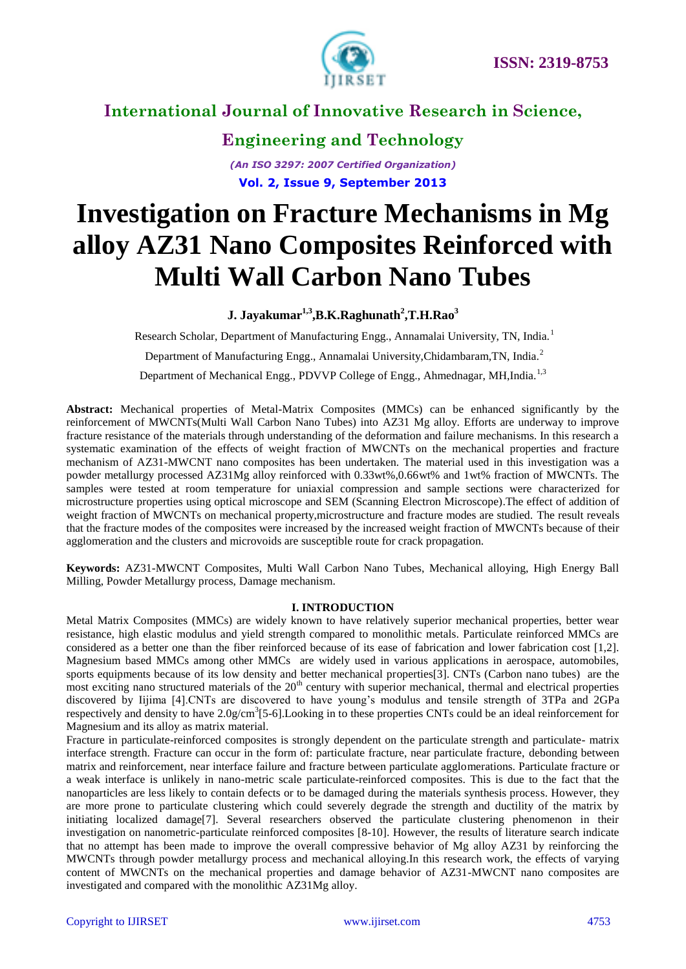

# **Engineering and Technology**

*(An ISO 3297: 2007 Certified Organization)* **Vol. 2, Issue 9, September 2013**

# **Investigation on Fracture Mechanisms in Mg alloy AZ31 Nano Composites Reinforced with Multi Wall Carbon Nano Tubes**

### **J. Jayakumar1,3 ,B.K.Raghunath<sup>2</sup> ,T.H.Rao<sup>3</sup>**

Research Scholar, Department of Manufacturing Engg., Annamalai University, TN, India.<sup>1</sup>

Department of Manufacturing Engg., Annamalai University,Chidambaram,TN, India.<sup>2</sup>

Department of Mechanical Engg., PDVVP College of Engg., Ahmednagar, MH,India.<sup>1,3</sup>

**Abstract:** Mechanical properties of Metal-Matrix Composites (MMCs) can be enhanced significantly by the reinforcement of MWCNTs(Multi Wall Carbon Nano Tubes) into AZ31 Mg alloy. Efforts are underway to improve fracture resistance of the materials through understanding of the deformation and failure mechanisms. In this research a systematic examination of the effects of weight fraction of MWCNTs on the mechanical properties and fracture mechanism of AZ31-MWCNT nano composites has been undertaken. The material used in this investigation was a powder metallurgy processed AZ31Mg alloy reinforced with 0.33wt%,0.66wt% and 1wt% fraction of MWCNTs. The samples were tested at room temperature for uniaxial compression and sample sections were characterized for microstructure properties using optical microscope and SEM (Scanning Electron Microscope).The effect of addition of weight fraction of MWCNTs on mechanical property,microstructure and fracture modes are studied. The result reveals that the fracture modes of the composites were increased by the increased weight fraction of MWCNTs because of their agglomeration and the clusters and microvoids are susceptible route for crack propagation.

**Keywords:** AZ31-MWCNT Composites, Multi Wall Carbon Nano Tubes, Mechanical alloying, High Energy Ball Milling, Powder Metallurgy process, Damage mechanism.

### **I. INTRODUCTION**

Metal Matrix Composites (MMCs) are widely known to have relatively superior mechanical properties, better wear resistance, high elastic modulus and yield strength compared to monolithic metals. Particulate reinforced MMCs are considered as a better one than the fiber reinforced because of its ease of fabrication and lower fabrication cost [1,2]. Magnesium based MMCs among other MMCs are widely used in various applications in aerospace, automobiles, sports equipments because of its low density and better mechanical properties[3]. CNTs (Carbon nano tubes) are the most exciting nano structured materials of the  $20<sup>th</sup>$  century with superior mechanical, thermal and electrical properties discovered by Iijima [4].CNTs are discovered to have young's modulus and tensile strength of 3TPa and 2GPa respectively and density to have  $2.0$  g/cm<sup>3</sup>[5-6]. Looking in to these properties CNTs could be an ideal reinforcement for Magnesium and its alloy as matrix material.

Fracture in particulate-reinforced composites is strongly dependent on the particulate strength and particulate- matrix interface strength. Fracture can occur in the form of: particulate fracture, near particulate fracture, debonding between matrix and reinforcement, near interface failure and fracture between particulate agglomerations. Particulate fracture or a weak interface is unlikely in nano-metric scale particulate-reinforced composites. This is due to the fact that the nanoparticles are less likely to contain defects or to be damaged during the materials synthesis process. However, they are more prone to particulate clustering which could severely degrade the strength and ductility of the matrix by initiating localized damage[7]. Several researchers observed the particulate clustering phenomenon in their investigation on nanometric-particulate reinforced composites [8-10]. However, the results of literature search indicate that no attempt has been made to improve the overall compressive behavior of Mg alloy AZ31 by reinforcing the MWCNTs through powder metallurgy process and mechanical alloying.In this research work, the effects of varying content of MWCNTs on the mechanical properties and damage behavior of AZ31-MWCNT nano composites are investigated and compared with the monolithic AZ31Mg alloy.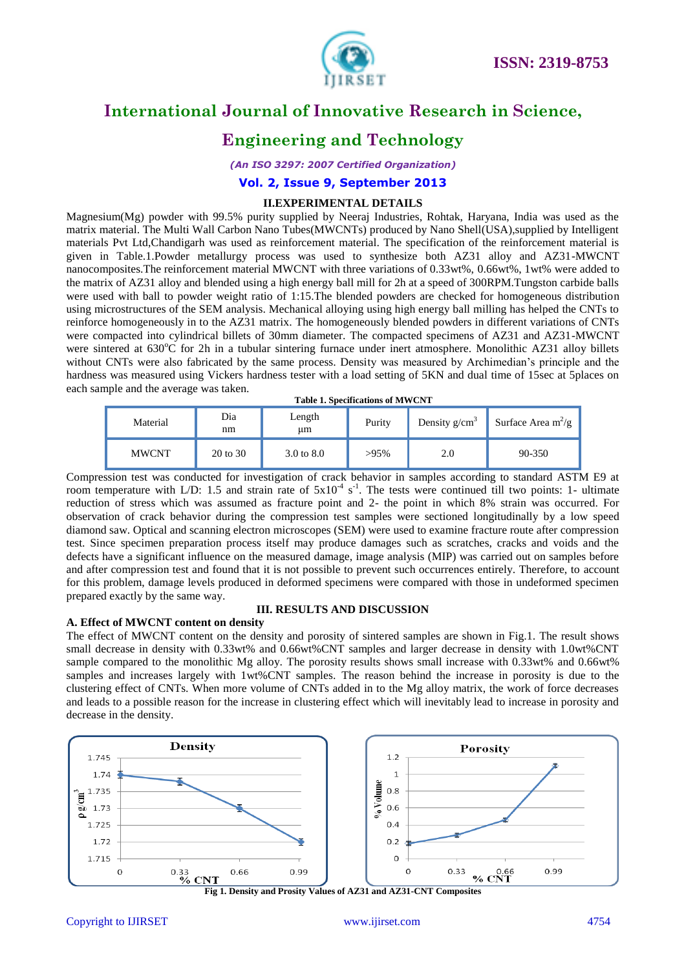

# **Engineering and Technology**

*(An ISO 3297: 2007 Certified Organization)*

### **Vol. 2, Issue 9, September 2013**

### **II.EXPERIMENTAL DETAILS**

Magnesium(Mg) powder with 99.5% purity supplied by Neeraj Industries, Rohtak, Haryana, India was used as the matrix material. The Multi Wall Carbon Nano Tubes(MWCNTs) produced by Nano Shell(USA),supplied by Intelligent materials Pvt Ltd,Chandigarh was used as reinforcement material. The specification of the reinforcement material is given in Table.1.Powder metallurgy process was used to synthesize both AZ31 alloy and AZ31-MWCNT nanocomposites.The reinforcement material MWCNT with three variations of 0.33wt%, 0.66wt%, 1wt% were added to the matrix of AZ31 alloy and blended using a high energy ball mill for 2h at a speed of 300RPM.Tungston carbide balls were used with ball to powder weight ratio of 1:15.The blended powders are checked for homogeneous distribution using microstructures of the SEM analysis. Mechanical alloying using high energy ball milling has helped the CNTs to reinforce homogeneously in to the AZ31 matrix. The homogeneously blended powders in different variations of CNTs were compacted into cylindrical billets of 30mm diameter. The compacted specimens of AZ31 and AZ31-MWCNT were sintered at 630<sup>o</sup>C for 2h in a tubular sintering furnace under inert atmosphere. Monolithic AZ31 alloy billets without CNTs were also fabricated by the same process. Density was measured by Archimedian's principle and the hardness was measured using Vickers hardness tester with a load setting of 5KN and dual time of 15sec at 5places on each sample and the average was taken.

#### **Table 1. Specifications of MWCNT**

| Material     | Dia<br>nm | Length<br>um          | Purity  | Density $g/cm^3$ | Surface Area $m^2/g$ |
|--------------|-----------|-----------------------|---------|------------------|----------------------|
| <b>MWCNT</b> | 20 to 30  | $3.0 \text{ to } 8.0$ | $>95\%$ | 2.0              | $90 - 350$           |

Compression test was conducted for investigation of crack behavior in samples according to standard ASTM E9 at room temperature with L/D: 1.5 and strain rate of  $5x10^4$  s<sup>-1</sup>. The tests were continued till two points: 1- ultimate reduction of stress which was assumed as fracture point and 2- the point in which 8% strain was occurred. For observation of crack behavior during the compression test samples were sectioned longitudinally by a low speed diamond saw. Optical and scanning electron microscopes (SEM) were used to examine fracture route after compression test. Since specimen preparation process itself may produce damages such as scratches, cracks and voids and the defects have a significant influence on the measured damage, image analysis (MIP) was carried out on samples before and after compression test and found that it is not possible to prevent such occurrences entirely. Therefore, to account for this problem, damage levels produced in deformed specimens were compared with those in undeformed specimen prepared exactly by the same way.

#### **III. RESULTS AND DISCUSSION**

**A. Effect of MWCNT content on density**

The effect of MWCNT content on the density and porosity of sintered samples are shown in Fig.1. The result shows small decrease in density with 0.33wt% and 0.66wt%CNT samples and larger decrease in density with 1.0wt%CNT sample compared to the monolithic Mg alloy. The porosity results shows small increase with 0.33wt% and 0.66wt% samples and increases largely with 1wt%CNT samples. The reason behind the increase in porosity is due to the clustering effect of CNTs. When more volume of CNTs added in to the Mg alloy matrix, the work of force decreases and leads to a possible reason for the increase in clustering effect which will inevitably lead to increase in porosity and decrease in the density.

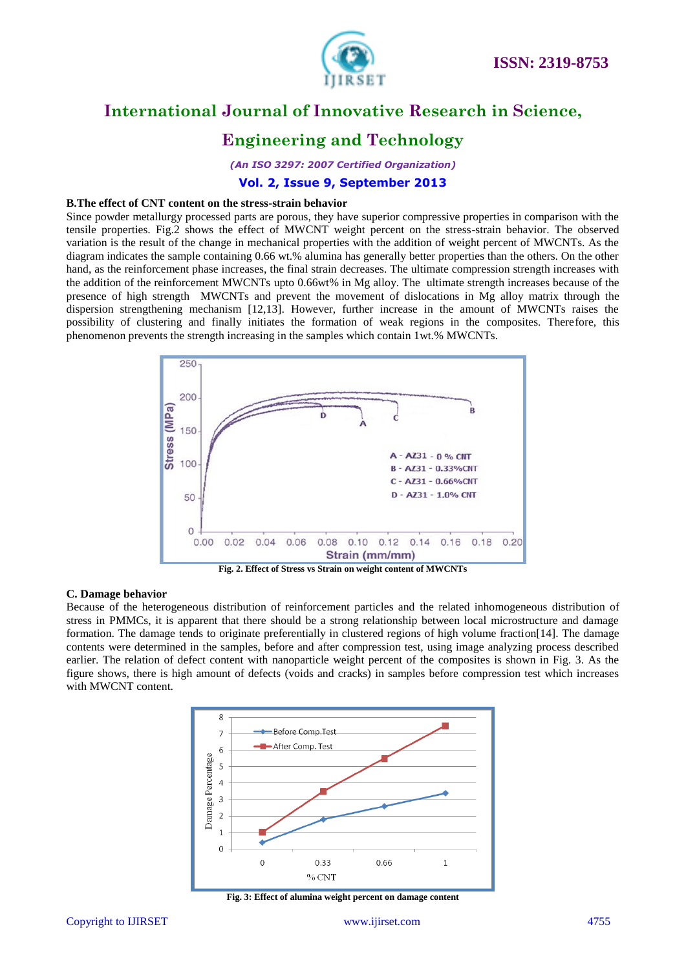

# **Engineering and Technology**

*(An ISO 3297: 2007 Certified Organization)*

### **Vol. 2, Issue 9, September 2013**

#### **B.The effect of CNT content on the stress-strain behavior**

Since powder metallurgy processed parts are porous, they have superior compressive properties in comparison with the tensile properties. Fig.2 shows the effect of MWCNT weight percent on the stress-strain behavior. The observed variation is the result of the change in mechanical properties with the addition of weight percent of MWCNTs. As the diagram indicates the sample containing 0.66 wt.% alumina has generally better properties than the others. On the other hand, as the reinforcement phase increases, the final strain decreases. The ultimate compression strength increases with the addition of the reinforcement MWCNTs upto 0.66wt% in Mg alloy. The ultimate strength increases because of the presence of high strength MWCNTs and prevent the movement of dislocations in Mg alloy matrix through the dispersion strengthening mechanism [12,13]. However, further increase in the amount of MWCNTs raises the possibility of clustering and finally initiates the formation of weak regions in the composites. Therefore, this phenomenon prevents the strength increasing in the samples which contain 1wt.% MWCNTs.



#### **C. Damage behavior**

Because of the heterogeneous distribution of reinforcement particles and the related inhomogeneous distribution of stress in PMMCs, it is apparent that there should be a strong relationship between local microstructure and damage formation. The damage tends to originate preferentially in clustered regions of high volume fraction[14]. The damage contents were determined in the samples, before and after compression test, using image analyzing process described earlier. The relation of defect content with nanoparticle weight percent of the composites is shown in Fig. 3. As the figure shows, there is high amount of defects (voids and cracks) in samples before compression test which increases with MWCNT content.



**Fig. 3: Effect of alumina weight percent on damage content**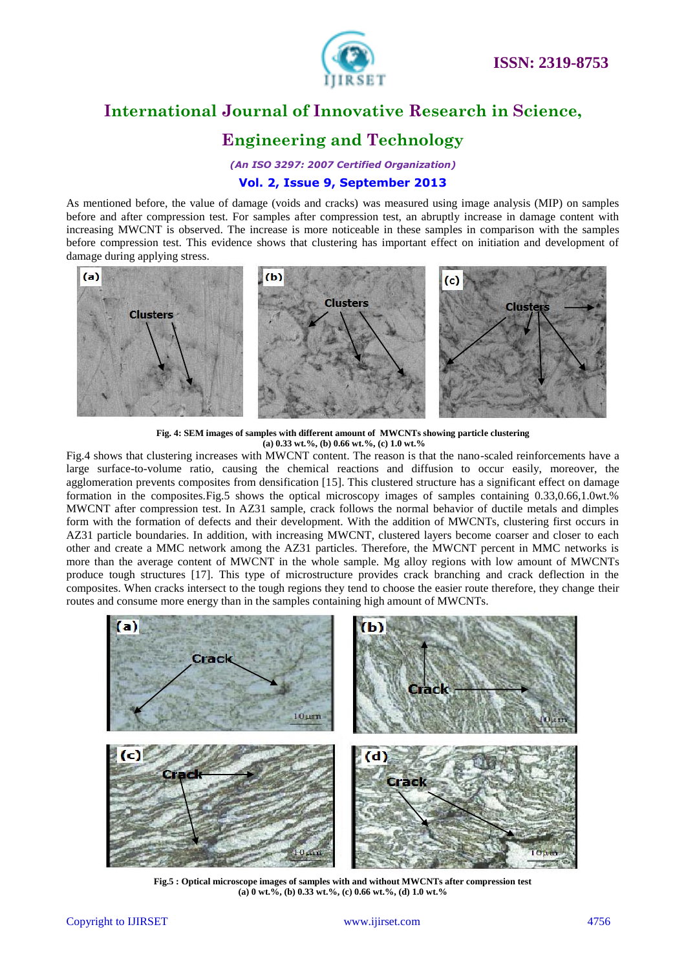

# **Engineering and Technology**

*(An ISO 3297: 2007 Certified Organization)*

### **Vol. 2, Issue 9, September 2013**

As mentioned before, the value of damage (voids and cracks) was measured using image analysis (MIP) on samples before and after compression test. For samples after compression test, an abruptly increase in damage content with increasing MWCNT is observed. The increase is more noticeable in these samples in comparison with the samples before compression test. This evidence shows that clustering has important effect on initiation and development of damage during applying stress.



**Fig. 4: SEM images of samples with different amount of MWCNTs showing particle clustering (a) 0.33 wt.%, (b) 0.66 wt.%, (c) 1.0 wt.%**

Fig.4 shows that clustering increases with MWCNT content. The reason is that the nano-scaled reinforcements have a large surface-to-volume ratio, causing the chemical reactions and diffusion to occur easily, moreover, the agglomeration prevents composites from densification [15]. This clustered structure has a significant effect on damage formation in the composites.Fig.5 shows the optical microscopy images of samples containing 0.33,0.66,1.0wt.% MWCNT after compression test. In AZ31 sample, crack follows the normal behavior of ductile metals and dimples form with the formation of defects and their development. With the addition of MWCNTs, clustering first occurs in AZ31 particle boundaries. In addition, with increasing MWCNT, clustered layers become coarser and closer to each other and create a MMC network among the AZ31 particles. Therefore, the MWCNT percent in MMC networks is more than the average content of MWCNT in the whole sample. Mg alloy regions with low amount of MWCNTs produce tough structures [17]. This type of microstructure provides crack branching and crack deflection in the composites. When cracks intersect to the tough regions they tend to choose the easier route therefore, they change their routes and consume more energy than in the samples containing high amount of MWCNTs.



**Fig.5 : Optical microscope images of samples with and without MWCNTs after compression test (a) 0 wt.%, (b) 0.33 wt.%, (c) 0.66 wt.%, (d) 1.0 wt.%**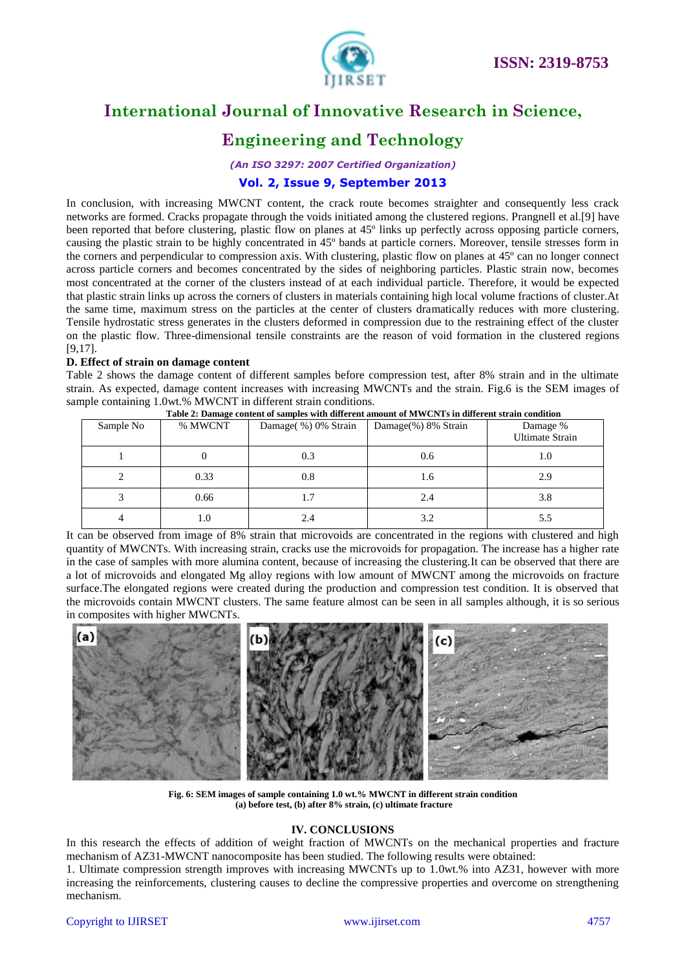

# **Engineering and Technology**

*(An ISO 3297: 2007 Certified Organization)*

### **Vol. 2, Issue 9, September 2013**

In conclusion, with increasing MWCNT content, the crack route becomes straighter and consequently less crack networks are formed. Cracks propagate through the voids initiated among the clustered regions. Prangnell et al.[9] have been reported that before clustering, plastic flow on planes at 45º links up perfectly across opposing particle corners, causing the plastic strain to be highly concentrated in 45º bands at particle corners. Moreover, tensile stresses form in the corners and perpendicular to compression axis. With clustering, plastic flow on planes at 45º can no longer connect across particle corners and becomes concentrated by the sides of neighboring particles. Plastic strain now, becomes most concentrated at the corner of the clusters instead of at each individual particle. Therefore, it would be expected that plastic strain links up across the corners of clusters in materials containing high local volume fractions of cluster.At the same time, maximum stress on the particles at the center of clusters dramatically reduces with more clustering. Tensile hydrostatic stress generates in the clusters deformed in compression due to the restraining effect of the cluster on the plastic flow. Three-dimensional tensile constraints are the reason of void formation in the clustered regions [9,17].

### **D. Effect of strain on damage content**

Table 2 shows the damage content of different samples before compression test, after 8% strain and in the ultimate strain. As expected, damage content increases with increasing MWCNTs and the strain. Fig.6 is the SEM images of sample containing 1.0wt.% MWCNT in different strain conditions.

| Table 2: Damage content of samples with different amount of MWCNTs in different strain condition |         |                     |                     |                                    |  |  |  |  |
|--------------------------------------------------------------------------------------------------|---------|---------------------|---------------------|------------------------------------|--|--|--|--|
| Sample No                                                                                        | % MWCNT | Damage(%) 0% Strain | Damage(%) 8% Strain | Damage %<br><b>Ultimate Strain</b> |  |  |  |  |
|                                                                                                  |         | 0.3                 | 0.6                 | 1.0                                |  |  |  |  |
|                                                                                                  | 0.33    | 0.8                 | 1.6                 | 2.9                                |  |  |  |  |
|                                                                                                  | 0.66    | 1.7                 | 2.4                 | 3.8                                |  |  |  |  |
|                                                                                                  | 1.0     | 2.4                 | 3.2                 | 5.5                                |  |  |  |  |

It can be observed from image of 8% strain that microvoids are concentrated in the regions with clustered and high quantity of MWCNTs. With increasing strain, cracks use the microvoids for propagation. The increase has a higher rate in the case of samples with more alumina content, because of increasing the clustering.It can be observed that there are a lot of microvoids and elongated Mg alloy regions with low amount of MWCNT among the microvoids on fracture surface.The elongated regions were created during the production and compression test condition. It is observed that the microvoids contain MWCNT clusters. The same feature almost can be seen in all samples although, it is so serious

in composites with higher MWCNTs.



**Fig. 6: SEM images of sample containing 1.0 wt.% MWCNT in different strain condition (a) before test, (b) after 8% strain, (c) ultimate fracture**

### **IV. CONCLUSIONS**

In this research the effects of addition of weight fraction of MWCNTs on the mechanical properties and fracture mechanism of AZ31-MWCNT nanocomposite has been studied. The following results were obtained:

1. Ultimate compression strength improves with increasing MWCNTs up to 1.0wt.% into AZ31, however with more increasing the reinforcements, clustering causes to decline the compressive properties and overcome on strengthening mechanism.